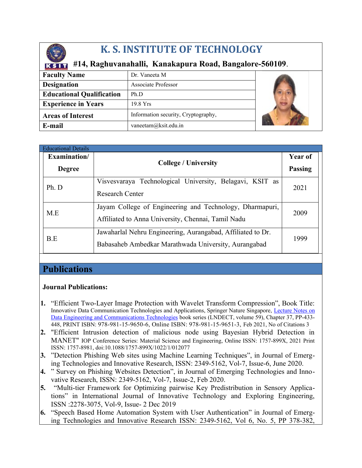

# **K. S. INSTITUTE OF TECHNOLOGY**

## **#14, Raghuvanahalli, Kanakapura Road, Bangalore-560109**.

| <b>Faculty Name</b>              | Dr. Vaneeta M                       |  |
|----------------------------------|-------------------------------------|--|
| <b>Designation</b>               | Associate Professor                 |  |
| <b>Educational Qualification</b> | Ph.D                                |  |
| <b>Experience in Years</b>       | 19.8 Yrs                            |  |
| <b>Areas of Interest</b>         | Information security, Cryptography, |  |
| E-mail                           | vaneetam@ksit.edu.in                |  |

| <b>Educational Details</b> |                                                                                                                     |                |
|----------------------------|---------------------------------------------------------------------------------------------------------------------|----------------|
| Examination/               |                                                                                                                     | Year of        |
| <b>Degree</b>              | <b>College / University</b>                                                                                         | <b>Passing</b> |
| Ph. D                      | Visvesvaraya Technological University, Belagavi, KSIT as<br><b>Research Center</b>                                  | 2021           |
| M.E                        | Jayam College of Engineering and Technology, Dharmapuri,<br>Affiliated to Anna University, Chennai, Tamil Nadu      | 2009           |
| B.E                        | Jawaharlal Nehru Engineering, Aurangabad, Affiliated to Dr.<br>Babasaheb Ambedkar Marathwada University, Aurangabad | 1999           |

## **Publications**

#### **Journal Publications:**

- **1.** "Efficient Two-Layer Image Protection with Wavelet Transform Compression", Book Title: Innovative Data Communication Technologies and Applications, Springer Nature Singapore, [Lecture Notes on](https://link.springer.com/bookseries/15362) [Data Engineering and Communications Technologies](https://link.springer.com/bookseries/15362) book series (LNDECT, volume 59), Chapter 37, PP-433- 448, PRINT ISBN: 978-981-15-9650-6, Online ISBN: 978-981-15-9651-3, Feb 2021, No of Citations 3
- **2.** "Efficient Intrusion detection of malicious node using Bayesian Hybrid Detection in MANET" IOP Conference Series: Material Science and Engineering, Online ISSN: 1757-899X, 2021 Print ISSN: 1757-8981, doi:10.1088/1757-899X/1022/1/012077
- **3.** "Detection Phishing Web sites using Machine Learning Techniques", in Journal of Emerging Technologies and Innovative Research, ISSN: 2349-5162, Vol-7, Issue-6, June 2020.
- **4.** " Survey on Phishing Websites Detection", in Journal of Emerging Technologies and Innovative Research, ISSN: 2349-5162, Vol-7, Issue-2, Feb 2020.
- **5.** "Multi-tier Framework for Optimizing pairwise Key Predistribution in Sensory Applications" in International Journal of Innovative Technology and Exploring Engineering, ISSN :2278-3075, Vol-9, Issue- 2 Dec 2019
- **6.** "Speech Based Home Automation System with User Authentication" in Journal of Emerging Technologies and Innovative Research ISSN: 2349-5162, Vol 6, No. 5, PP 378-382,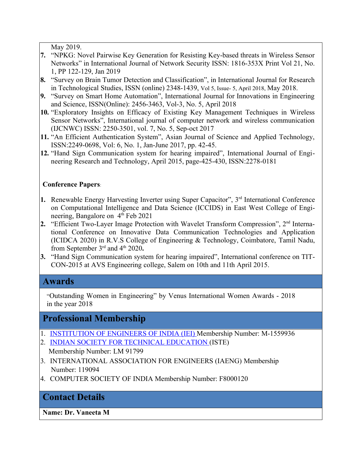May 2019.

- **7.** "NPKG: Novel Pairwise Key Generation for Resisting Key-based threats in Wireless Sensor Networks" in International Journal of Network Security ISSN: 1816-353X Print Vol 21, No. 1, PP 122-129, Jan 2019
- **8.** "Survey on Brain Tumor Detection and Classification", in International Journal for Research in Technological Studies, ISSN (online) 2348-1439, Vol 5, Issue- 5, April 2018, May 2018.
- **9.** "Survey on Smart Home Automation", International Journal for Innovations in Engineering and Science, ISSN(Online): 2456-3463, Vol-3, No. 5, April 2018
- **10.** "Exploratory Insights on Efficacy of Existing Key Management Techniques in Wireless Sensor Networks", International journal of computer network and wireless communication (IJCNWC) ISSN: 2250-3501, vol. 7, No. 5, Sep-oct 2017
- **11.** "An Efficient Authentication System", Asian Journal of Science and Applied Technology, ISSN:2249-0698, Vol: 6, No. 1, Jan-June 2017, pp. 42-45.
- **12.** "Hand Sign Communication system for hearing impaired", International Journal of Engineering Research and Technology, April 2015, page-425-430, ISSN:2278-0181

#### **Conference Papers**:

- 1. Renewable Energy Harvesting Inverter using Super Capacitor", 3<sup>rd</sup> International Conference on Computational Intelligence and Data Science (ICCIDS) in East West College of Engineering, Bangalore on 4<sup>th</sup> Feb 2021
- 2. "Efficient Two-Layer Image Protection with Wavelet Transform Compression", 2<sup>nd</sup> International Conference on Innovative Data Communication Technologies and Application (ICIDCA 2020) in R.V.S College of Engineering & Technology, Coimbatore, Tamil Nadu, from September 3<sup>rd</sup> and 4<sup>th</sup> 2020.
- **3.** "Hand Sign Communication system for hearing impaired", International conference on TIT-CON-2015 at AVS Engineering college, Salem on 10th and 11th April 2015.

### **Awards**

"Outstanding Women in Engineering" by Venus International Women Awards - 2018 in the year 2018

## **Professional Membership**

- 1. [INSTITUTION OF ENGINEERS OF INDIA \(IEI\)](https://www.linkedin.com/school/amieindia/) Membership Number: M-1559936
- 2. [INDIAN SOCIETY FOR TECHNICAL EDUCATION](http://www.isteonline.in/) (ISTE)
- Membership Number: LM 91799
- 3. INTERNATIONAL ASSOCIATION FOR ENGINEERS (IAENG) Membership Number: 119094
- 4. COMPUTER SOCIETY OF INDIA Membership Number: F8000120

## **Contact Details**

**Name: Dr. Vaneeta M**